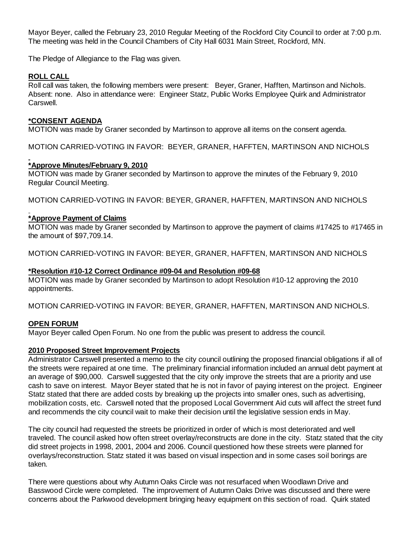Mayor Beyer, called the February 23, 2010 Regular Meeting of the Rockford City Council to order at 7:00 p.m. The meeting was held in the Council Chambers of City Hall 6031 Main Street, Rockford, MN.

The Pledge of Allegiance to the Flag was given.

# **ROLL CALL**

Roll call was taken, the following members were present: Beyer, Graner, Hafften, Martinson and Nichols. Absent: none. Also in attendance were: Engineer Statz, Public Works Employee Quirk and Administrator Carswell.

# **\*CONSENT AGENDA**

MOTION was made by Graner seconded by Martinson to approve all items on the consent agenda.

MOTION CARRIED-VOTING IN FAVOR: BEYER, GRANER, HAFFTEN, MARTINSON AND NICHOLS

# **\*Approve Minutes/February 9, 2010**

MOTION was made by Graner seconded by Martinson to approve the minutes of the February 9, 2010 Regular Council Meeting.

MOTION CARRIED-VOTING IN FAVOR: BEYER, GRANER, HAFFTEN, MARTINSON AND NICHOLS

# **\*Approve Payment of Claims**

MOTION was made by Graner seconded by Martinson to approve the payment of claims #17425 to #17465 in the amount of \$97,709.14.

MOTION CARRIED-VOTING IN FAVOR: BEYER, GRANER, HAFFTEN, MARTINSON AND NICHOLS

### **\*Resolution #10-12 Correct Ordinance #09-04 and Resolution #09-68**

MOTION was made by Graner seconded by Martinson to adopt Resolution #10-12 approving the 2010 appointments.

MOTION CARRIED-VOTING IN FAVOR: BEYER, GRANER, HAFFTEN, MARTINSON AND NICHOLS.

# **OPEN FORUM**

Mayor Beyer called Open Forum. No one from the public was present to address the council.

### **2010 Proposed Street Improvement Projects**

Administrator Carswell presented a memo to the city council outlining the proposed financial obligations if all of the streets were repaired at one time. The preliminary financial information included an annual debt payment at an average of \$90,000. Carswell suggested that the city only improve the streets that are a priority and use cash to save on interest. Mayor Beyer stated that he is not in favor of paying interest on the project. Engineer Statz stated that there are added costs by breaking up the projects into smaller ones, such as advertising, mobilization costs, etc. Carswell noted that the proposed Local Government Aid cuts will affect the street fund and recommends the city council wait to make their decision until the legislative session ends in May.

The city council had requested the streets be prioritized in order of which is most deteriorated and well traveled. The council asked how often street overlay/reconstructs are done in the city. Statz stated that the city did street projects in 1998, 2001, 2004 and 2006. Council questioned how these streets were planned for overlays/reconstruction. Statz stated it was based on visual inspection and in some cases soil borings are taken.

There were questions about why Autumn Oaks Circle was not resurfaced when Woodlawn Drive and Basswood Circle were completed. The improvement of Autumn Oaks Drive was discussed and there were concerns about the Parkwood development bringing heavy equipment on this section of road. Quirk stated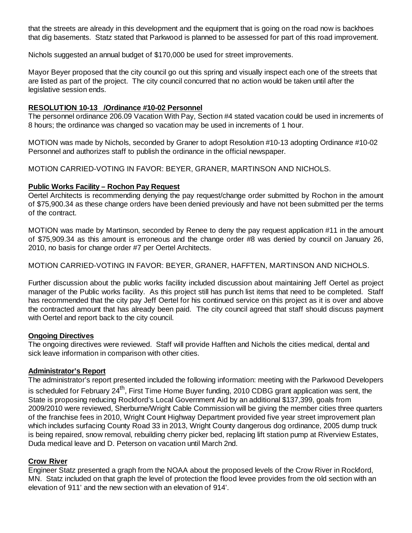that the streets are already in this development and the equipment that is going on the road now is backhoes that dig basements. Statz stated that Parkwood is planned to be assessed for part of this road improvement.

Nichols suggested an annual budget of \$170,000 be used for street improvements.

Mayor Beyer proposed that the city council go out this spring and visually inspect each one of the streets that are listed as part of the project. The city council concurred that no action would be taken until after the legislative session ends.

### **RESOLUTION 10-13 /Ordinance #10-02 Personnel**

The personnel ordinance 206.09 Vacation With Pay, Section #4 stated vacation could be used in increments of 8 hours; the ordinance was changed so vacation may be used in increments of 1 hour.

MOTION was made by Nichols, seconded by Graner to adopt Resolution #10-13 adopting Ordinance #10-02 Personnel and authorizes staff to publish the ordinance in the official newspaper.

MOTION CARRIED-VOTING IN FAVOR: BEYER, GRANER, MARTINSON AND NICHOLS.

### **Public Works Facility – Rochon Pay Request**

Oertel Architects is recommending denying the pay request/change order submitted by Rochon in the amount of \$75,900.34 as these change orders have been denied previously and have not been submitted per the terms of the contract.

MOTION was made by Martinson, seconded by Renee to deny the pay request application #11 in the amount of \$75,909.34 as this amount is erroneous and the change order #8 was denied by council on January 26, 2010, no basis for change order #7 per Oertel Architects.

### MOTION CARRIED-VOTING IN FAVOR: BEYER, GRANER, HAFFTEN, MARTINSON AND NICHOLS.

Further discussion about the public works facility included discussion about maintaining Jeff Oertel as project manager of the Public works facility. As this project still has punch list items that need to be completed. Staff has recommended that the city pay Jeff Oertel for his continued service on this project as it is over and above the contracted amount that has already been paid. The city council agreed that staff should discuss payment with Oertel and report back to the city council.

### **Ongoing Directives**

The ongoing directives were reviewed. Staff will provide Hafften and Nichols the cities medical, dental and sick leave information in comparison with other cities.

### **Administrator's Report**

The administrator's report presented included the following information: meeting with the Parkwood Developers is scheduled for February 24<sup>th</sup>, First Time Home Buyer funding, 2010 CDBG grant application was sent, the State is proposing reducing Rockford's Local Government Aid by an additional \$137,399, goals from 2009/2010 were reviewed, Sherburne/Wright Cable Commission will be giving the member cities three quarters of the franchise fees in 2010, Wright Count Highway Department provided five year street improvement plan which includes surfacing County Road 33 in 2013, Wright County dangerous dog ordinance, 2005 dump truck is being repaired, snow removal, rebuilding cherry picker bed, replacing lift station pump at Riverview Estates, Duda medical leave and D. Peterson on vacation until March 2nd.

### **Crow River**

Engineer Statz presented a graph from the NOAA about the proposed levels of the Crow River in Rockford, MN. Statz included on that graph the level of protection the flood levee provides from the old section with an elevation of 911' and the new section with an elevation of 914'.